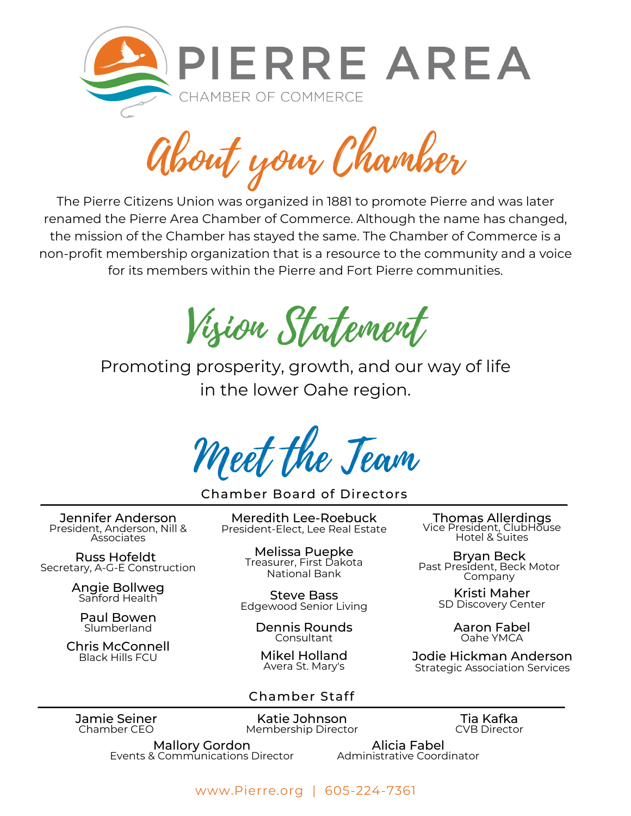

About your Chamber

The Pierre Citizens Union was organized in 1881 to promote Pierre and was later renamed the Pierre Area Chamber of Commerce. Although the name has changed, the mission of the Chamber has stayed the same. The Chamber of Commerce is a non-profit membership organization that is a resource to the community and a voice for its members within the Pierre and Fort Pierre communities.

Vision Statement

Promoting prosperity, growth, and our way of life in the lower Oahe region.

Meet the Team

Chamber Board of Directors

Jennifer Anderson President, Anderson, Nill & **Associates** 

Russ Hofeldt Secretary, A-G-E Construction

Angie Bollweg<br>Sanford Health

Paul Bowen Slumberland

Chris McConnell Black Hills FCU

Meredith Lee-Roebuck President-Elect, Lee Real Estate

> Melissa Puepke Treasurer, First Dakota National Bank

Steve Bass Edgewood Senior Living rigie Boliweg<br>Sanford Health English Steve Bass

> Dennis Rounds Consultant

Mikel Holland Avera St. Mary's

# Chamber Staff

Thomas Allerdings Vice President, ClubHõuse Hotel & Suites

Bryan Beck Past President, Beck Motor Company

SD Discovery Center

Aaron Fabel Oahe YMCA

Jodie Hickman Anderson Strategic Association Services

Jamie Seiner Chamber CEO

Katie Johnson Membership Director

Tia Kafka CVB Director

Mallory Gordon Events & Communications Director

Alicia Fabel Administrative Coordinator

www.Pierre.org | 605-224-7361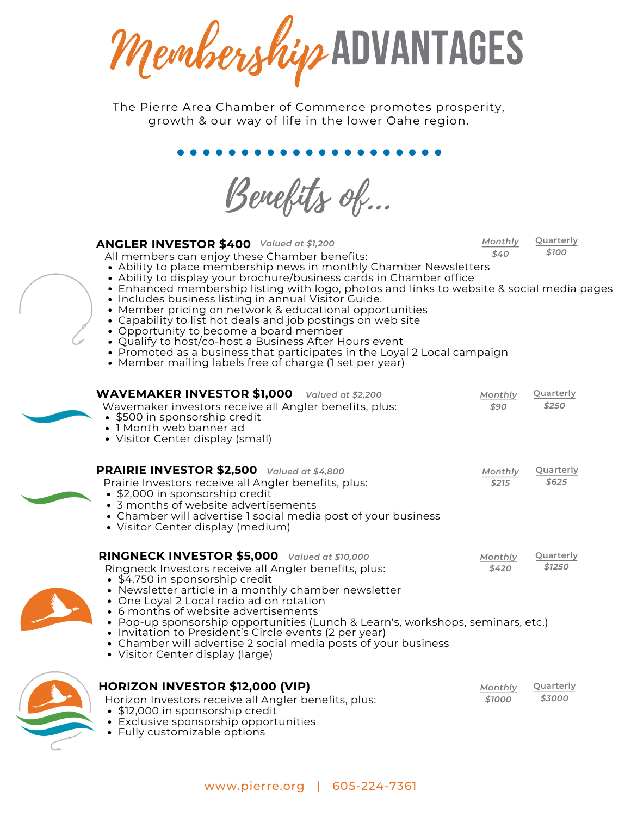MembershipADVANTAGES

The Pierre Area Chamber of Commerce promotes prosperity, growth & our way of life in the lower Oahe region.

**..............** 

Benefits of...

| <b>ANGLER INVESTOR \$400</b> Valued at \$1,200<br>All members can enjoy these Chamber benefits:                                                                                                                                                                                                                                                                                                                                                                                                                                                                                                                                                                    | Monthly<br>\$40 | Quarterly<br>\$100 |
|--------------------------------------------------------------------------------------------------------------------------------------------------------------------------------------------------------------------------------------------------------------------------------------------------------------------------------------------------------------------------------------------------------------------------------------------------------------------------------------------------------------------------------------------------------------------------------------------------------------------------------------------------------------------|-----------------|--------------------|
| • Ability to place membership news in monthly Chamber Newsletters<br>• Ability to display your brochure/business cards in Chamber office<br>• Enhanced membership listing with logo, photos and links to website & social media pages<br>• Includes business listing in annual Visitor Guide.<br>• Member pricing on network & educational opportunities<br>• Capability to list hot deals and job postings on web site<br>• Opportunity to become a board member<br>• Qualify to host/co-host a Business After Hours event<br>• Promoted as a business that participates in the Loyal 2 Local campaign<br>• Member mailing labels free of charge (1 set per year) |                 |                    |
| <b>WAVEMAKER INVESTOR \$1,000</b> Valued at \$2,200                                                                                                                                                                                                                                                                                                                                                                                                                                                                                                                                                                                                                | Monthly         | Quarterly          |
| Wavemaker investors receive all Angler benefits, plus:<br>• \$500 in sponsorship credit<br>• 1 Month web banner ad<br>• Visitor Center display (small)                                                                                                                                                                                                                                                                                                                                                                                                                                                                                                             | \$90            | \$250              |
| <b>PRAIRIE INVESTOR \$2,500</b> Valued at \$4,800                                                                                                                                                                                                                                                                                                                                                                                                                                                                                                                                                                                                                  | Monthly         | Quarterly          |
| Prairie Investors receive all Angler benefits, plus:<br>• \$2,000 in sponsorship credit<br>• 3 months of website advertisements<br>• Chamber will advertise I social media post of your business<br>• Visitor Center display (medium)                                                                                                                                                                                                                                                                                                                                                                                                                              | \$215           | \$625              |
| RINGNECK INVESTOR \$5,000 Valued at \$10,000                                                                                                                                                                                                                                                                                                                                                                                                                                                                                                                                                                                                                       | Monthly         | Quarterly          |
| Ringneck Investors receive all Angler benefits, plus:<br>• \$4,750 in sponsorship credit<br>• Newsletter article in a monthly chamber newsletter<br>• One Loyal 2 Local radio ad on rotation<br>• 6 months of website advertisements                                                                                                                                                                                                                                                                                                                                                                                                                               | \$420           | \$1250             |
| • Pop-up sponsorship opportunities (Lunch & Learn's, workshops, seminars, etc.)<br>• Invitation to President's Circle events (2 per year)<br>• Chamber will advertise 2 social media posts of your business<br>• Visitor Center display (large)                                                                                                                                                                                                                                                                                                                                                                                                                    |                 |                    |
| <b>HORIZON INVESTOR \$12,000 (VIP)</b>                                                                                                                                                                                                                                                                                                                                                                                                                                                                                                                                                                                                                             | Monthly         | Quarterly          |
| Horizon Investors receive all Angler benefits, plus:<br>• \$12,000 in sponsorship credit<br>• Exclusive sponsorship opportunities                                                                                                                                                                                                                                                                                                                                                                                                                                                                                                                                  | \$1000          | \$3000             |



Fully customizable options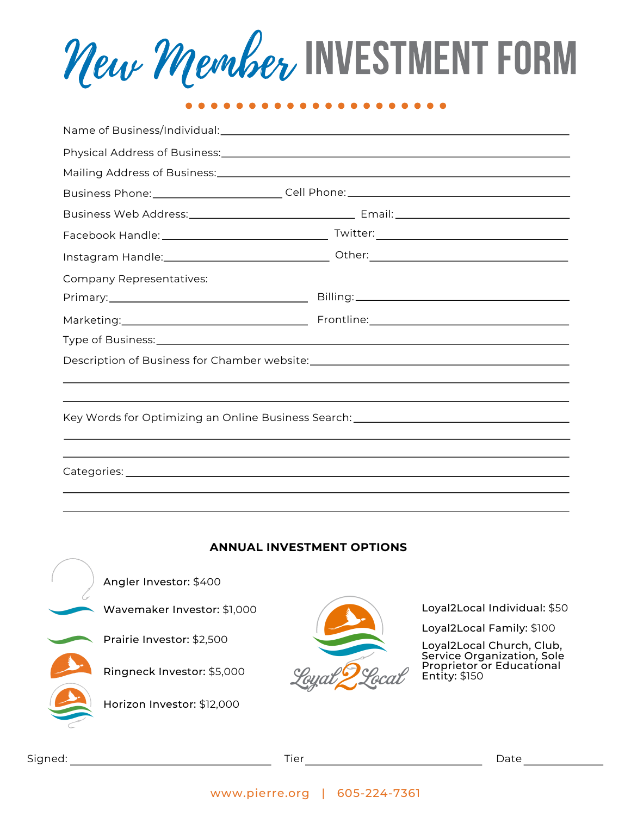New Member INVESTMENT FORM

|                                                                                   | Business Phone: __________________________Cell Phone: ___________________________ |  |  |  |  |
|-----------------------------------------------------------------------------------|-----------------------------------------------------------------------------------|--|--|--|--|
|                                                                                   |                                                                                   |  |  |  |  |
|                                                                                   |                                                                                   |  |  |  |  |
|                                                                                   | Instagram Handle:___________________________________Other:_______________________ |  |  |  |  |
| Company Representatives:                                                          |                                                                                   |  |  |  |  |
|                                                                                   |                                                                                   |  |  |  |  |
|                                                                                   |                                                                                   |  |  |  |  |
|                                                                                   |                                                                                   |  |  |  |  |
| Description of Business for Chamber website: ___________________________________  |                                                                                   |  |  |  |  |
|                                                                                   |                                                                                   |  |  |  |  |
|                                                                                   |                                                                                   |  |  |  |  |
| Key Words for Optimizing an Online Business Search: _____________________________ |                                                                                   |  |  |  |  |
|                                                                                   |                                                                                   |  |  |  |  |
|                                                                                   |                                                                                   |  |  |  |  |
|                                                                                   |                                                                                   |  |  |  |  |
|                                                                                   |                                                                                   |  |  |  |  |

## **ANNUAL INVESTMENT OPTIONS**

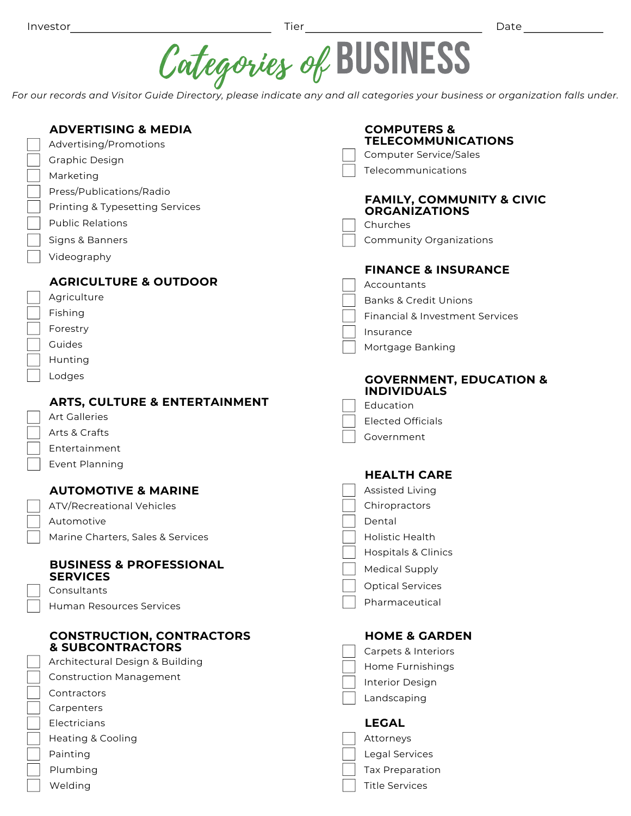\_\_\_\_\_\_\_\_ Date \_\_\_\_\_\_\_\_\_\_\_\_\_\_\_



For our records and Visitor Guide Directory, please indicate any and all categories your business or organization falls under.

| <b>ADVERTISING &amp; MEDIA</b>           | <b>COMPUTERS &amp;</b>                                       |
|------------------------------------------|--------------------------------------------------------------|
| Advertising/Promotions                   | <b>TELECOMMUNICATIONS</b>                                    |
| Graphic Design                           | <b>Computer Service/Sales</b>                                |
| Marketing                                | Telecommunications                                           |
| Press/Publications/Radio                 |                                                              |
| Printing & Typesetting Services          | <b>FAMILY, COMMUNITY &amp; CIVIC</b><br><b>ORGANIZATIONS</b> |
| <b>Public Relations</b>                  | Churches                                                     |
| Signs & Banners                          | Community Organizations                                      |
| Videography                              |                                                              |
|                                          | <b>FINANCE &amp; INSURANCE</b>                               |
| <b>AGRICULTURE &amp; OUTDOOR</b>         | Accountants                                                  |
| Agriculture                              | <b>Banks &amp; Credit Unions</b>                             |
| Fishing                                  | <b>Financial &amp; Investment Services</b>                   |
| Forestry                                 | Insurance                                                    |
| Guides                                   | Mortgage Banking                                             |
| Hunting                                  |                                                              |
| Lodges                                   | <b>GOVERNMENT, EDUCATION &amp;</b>                           |
| <b>ARTS, CULTURE &amp; ENTERTAINMENT</b> | <b>INDIVIDUALS</b><br>Education                              |
| <b>Art Galleries</b>                     | <b>Elected Officials</b>                                     |
| Arts & Crafts                            | Government                                                   |
| Entertainment                            |                                                              |
|                                          |                                                              |
| Event Planning                           |                                                              |
|                                          | <b>HEALTH CARE</b>                                           |
| <b>AUTOMOTIVE &amp; MARINE</b>           | Assisted Living                                              |
| ATV/Recreational Vehicles                | Chiropractors                                                |
| Automotive                               | Dental                                                       |
| Marine Charters, Sales & Services        | <b>Holistic Health</b>                                       |
|                                          | <b>Hospitals &amp; Clinics</b>                               |
| <b>BUSINESS &amp; PROFESSIONAL</b>       | <b>Medical Supply</b>                                        |
| <b>SERVICES</b><br>Consultants           | <b>Optical Services</b>                                      |
| <b>Human Resources Services</b>          | Pharmaceutical                                               |
|                                          |                                                              |
| <b>CONSTRUCTION, CONTRACTORS</b>         | <b>HOME &amp; GARDEN</b>                                     |
| <b>&amp; SUBCONTRACTORS</b>              | Carpets & Interiors                                          |
| Architectural Design & Building          | Home Furnishings                                             |
| <b>Construction Management</b>           | Interior Design                                              |
| Contractors                              | Landscaping                                                  |
| Carpenters                               |                                                              |
| Electricians                             | <b>LEGAL</b>                                                 |
| <b>Heating &amp; Cooling</b>             | Attorneys                                                    |
| Painting                                 | Legal Services                                               |
| Plumbing<br>Welding                      | Tax Preparation<br><b>Title Services</b>                     |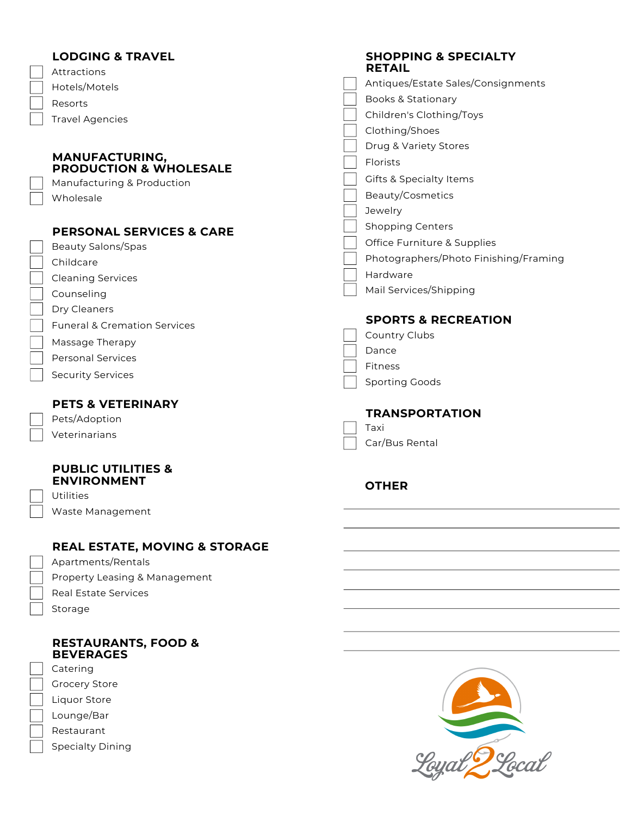| <b>LODGING &amp; TRAVEL</b><br>Attractions          | <b>SHOPPING &amp; SPECIALTY</b><br><b>RETAIL</b> |
|-----------------------------------------------------|--------------------------------------------------|
| Hotels/Motels                                       | Antiques/Estate Sales/Consignments               |
| Resorts                                             | <b>Books &amp; Stationary</b>                    |
| <b>Travel Agencies</b>                              | Children's Clothing/Toys                         |
|                                                     | Clothing/Shoes                                   |
|                                                     | Drug & Variety Stores                            |
| MANUFACTURING,<br><b>PRODUCTION &amp; WHOLESALE</b> | Florists                                         |
| Manufacturing & Production                          | <b>Gifts &amp; Specialty Items</b>               |
| Wholesale                                           | Beauty/Cosmetics                                 |
|                                                     | Jewelry                                          |
| <b>PERSONAL SERVICES &amp; CARE</b>                 | <b>Shopping Centers</b>                          |
| <b>Beauty Salons/Spas</b>                           | Office Furniture & Supplies                      |
| Childcare                                           | Photographers/Photo Finishing/Framing            |
| <b>Cleaning Services</b>                            | Hardware                                         |
| Counseling                                          | Mail Services/Shipping                           |
| Dry Cleaners                                        |                                                  |
| <b>Funeral &amp; Cremation Services</b>             | <b>SPORTS &amp; RECREATION</b>                   |
| Massage Therapy                                     | Country Clubs                                    |
| <b>Personal Services</b>                            | Dance                                            |
|                                                     | Fitness                                          |
| <b>Security Services</b>                            | <b>Sporting Goods</b>                            |
| <b>PETS &amp; VETERINARY</b>                        |                                                  |
| Pets/Adoption                                       | <b>TRANSPORTATION</b>                            |
| Veterinarians                                       | Taxi                                             |
|                                                     | Car/Bus Rental                                   |
| <b>PUBLIC UTILITIES &amp;</b>                       |                                                  |
| <b>ENVIRONMENT</b>                                  | <b>OTHER</b>                                     |
| Utilities                                           |                                                  |
| Waste Management                                    |                                                  |
| <b>REAL ESTATE, MOVING &amp; STORAGE</b>            |                                                  |
| Apartments/Rentals                                  |                                                  |
| Property Leasing & Management                       |                                                  |
| <b>Real Estate Services</b>                         |                                                  |
| Storage                                             |                                                  |
|                                                     |                                                  |
| <b>RESTAURANTS, FOOD &amp;</b><br><b>BEVERAGES</b>  |                                                  |
| Catering                                            |                                                  |
| <b>Grocery Store</b>                                |                                                  |
| Liquor Store                                        |                                                  |
|                                                     |                                                  |

Lounge/Bar

 $\begin{bmatrix} \phantom{-} \\ \phantom{-} \end{bmatrix}$ 

- Restaurant
- Specialty Dining

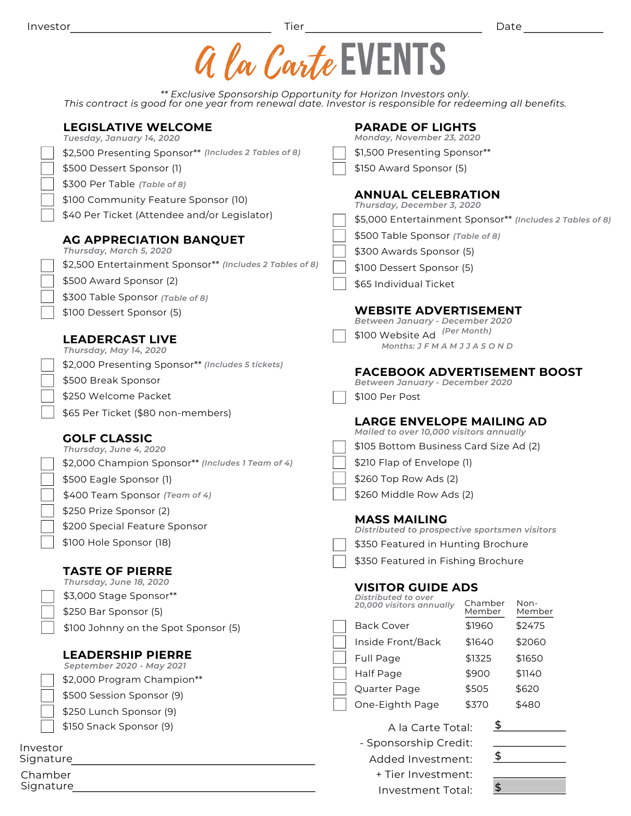|                                                                                                                                                                               | a la Carte EVENTS                                               |  |  |  |  |  |
|-------------------------------------------------------------------------------------------------------------------------------------------------------------------------------|-----------------------------------------------------------------|--|--|--|--|--|
| ** Exclusive Sponsorship Opportunity for Horizon Investors only.<br>This contract is good for one year from renewal date. Investor is responsible for redeeming all benefits. |                                                                 |  |  |  |  |  |
| <b>LEGISLATIVE WELCOME</b><br>Tuesday, January 14, 2020                                                                                                                       | <b>PARADE OF LIGHTS</b><br>Monday, November 23, 2020            |  |  |  |  |  |
| \$2,500 Presenting Sponsor** (Includes 2 Tables of 8)                                                                                                                         | \$1,500 Presenting Sponsor**                                    |  |  |  |  |  |
| \$500 Dessert Sponsor (1)                                                                                                                                                     | \$150 Award Sponsor (5)                                         |  |  |  |  |  |
| \$300 Per Table (Table of 8)                                                                                                                                                  |                                                                 |  |  |  |  |  |
| \$100 Community Feature Sponsor (10)                                                                                                                                          | <b>ANNUAL CELEBRATION</b><br>Thursday, December 3, 2020         |  |  |  |  |  |
| \$40 Per Ticket (Attendee and/or Legislator)                                                                                                                                  | \$5,000 Entertainment Sponsor** (Includes 2 Tables of 8)        |  |  |  |  |  |
| AG APPRECIATION BANQUET                                                                                                                                                       | \$500 Table Sponsor (Table of 8)                                |  |  |  |  |  |
| Thursday, March 5, 2020                                                                                                                                                       | \$300 Awards Sponsor (5)                                        |  |  |  |  |  |
| \$2,500 Entertainment Sponsor** (Includes 2 Tables of 8)                                                                                                                      | \$100 Dessert Sponsor (5)                                       |  |  |  |  |  |
| \$500 Award Sponsor (2)                                                                                                                                                       | \$65 Individual Ticket                                          |  |  |  |  |  |
| \$300 Table Sponsor (Table of 8)                                                                                                                                              |                                                                 |  |  |  |  |  |
| \$100 Dessert Sponsor (5)                                                                                                                                                     | <b>WEBSITE ADVERTISEMENT</b><br>Between January - December 2020 |  |  |  |  |  |
| <b>LEADERCAST LIVE</b>                                                                                                                                                        | \$100 Website Ad (Per Month)                                    |  |  |  |  |  |
| Thursday, May 14, 2020                                                                                                                                                        | Months: JFMAMJJASOND                                            |  |  |  |  |  |
| \$2,000 Presenting Sponsor** (Includes 5 tickets)                                                                                                                             | <b>FACEBOOK ADVERTISEMENT BOOST</b>                             |  |  |  |  |  |
| \$500 Break Sponsor                                                                                                                                                           | Between January - December 2020                                 |  |  |  |  |  |
| \$250 Welcome Packet                                                                                                                                                          | \$100 Per Post                                                  |  |  |  |  |  |
| \$65 Per Ticket (\$80 non-members)                                                                                                                                            | <b>LARGE ENVELOPE MAILING AD</b>                                |  |  |  |  |  |
| <b>GOLF CLASSIC</b>                                                                                                                                                           | Mailed to over 10,000 visitors annually                         |  |  |  |  |  |
| Thursday, June 4, 2020                                                                                                                                                        | \$105 Bottom Business Card Size Ad (2)                          |  |  |  |  |  |
| \$2,000 Champion Sponsor** (Includes 1 Team of 4)                                                                                                                             | \$210 Flap of Envelope (1)                                      |  |  |  |  |  |
| \$500 Eagle Sponsor (1)                                                                                                                                                       | \$260 Top Row Ads (2)                                           |  |  |  |  |  |
| \$400 Team Sponsor (Team of 4)                                                                                                                                                | \$260 Middle Row Ads (2)                                        |  |  |  |  |  |
| \$250 Prize Sponsor (2)                                                                                                                                                       | <b>MASS MAILING</b>                                             |  |  |  |  |  |
| \$200 Special Feature Sponsor                                                                                                                                                 | Distributed to prospective sportsmen visitors                   |  |  |  |  |  |
| \$100 Hole Sponsor (18)                                                                                                                                                       | \$350 Featured in Hunting Brochure                              |  |  |  |  |  |
|                                                                                                                                                                               | \$350 Featured in Fishing Brochure                              |  |  |  |  |  |
| <b>TASTE OF PIERRE</b><br>Thursday, June 18, 2020                                                                                                                             |                                                                 |  |  |  |  |  |
| \$3,000 Stage Sponsor**                                                                                                                                                       | <b>VISITOR GUIDE ADS</b><br>Distributed to over                 |  |  |  |  |  |
| \$250 Bar Sponsor (5)                                                                                                                                                         | Non-<br>Chamber<br>20,000 visitors annually<br>Member<br>Member |  |  |  |  |  |
| \$100 Johnny on the Spot Sponsor (5)                                                                                                                                          | <b>Back Cover</b><br>\$1960<br>\$2475                           |  |  |  |  |  |
|                                                                                                                                                                               | Inside Front/Back<br>\$1640<br>\$2060                           |  |  |  |  |  |
| <b>LEADERSHIP PIERRE</b>                                                                                                                                                      | Full Page<br>\$1650<br>\$1325                                   |  |  |  |  |  |
| September 2020 - May 2021<br>\$2,000 Program Champion**                                                                                                                       | \$1140<br>Half Page<br>\$900                                    |  |  |  |  |  |
| \$500 Session Sponsor (9)                                                                                                                                                     | \$620<br>Quarter Page<br>\$505                                  |  |  |  |  |  |
| \$250 Lunch Sponsor (9)                                                                                                                                                       | One-Eighth Page<br>\$370<br>\$480                               |  |  |  |  |  |
| \$150 Snack Sponsor (9)                                                                                                                                                       | $\overline{\mathcal{F}}$<br>A la Carte Total:                   |  |  |  |  |  |
|                                                                                                                                                                               | - Sponsorship Credit:                                           |  |  |  |  |  |
| Investor<br>Signature                                                                                                                                                         | \$<br>Added Investment:                                         |  |  |  |  |  |
| Chamber                                                                                                                                                                       | + Tier Investment:                                              |  |  |  |  |  |
| Signature                                                                                                                                                                     | $\boldsymbol{\hat{\phi}}$<br>Investment Total:                  |  |  |  |  |  |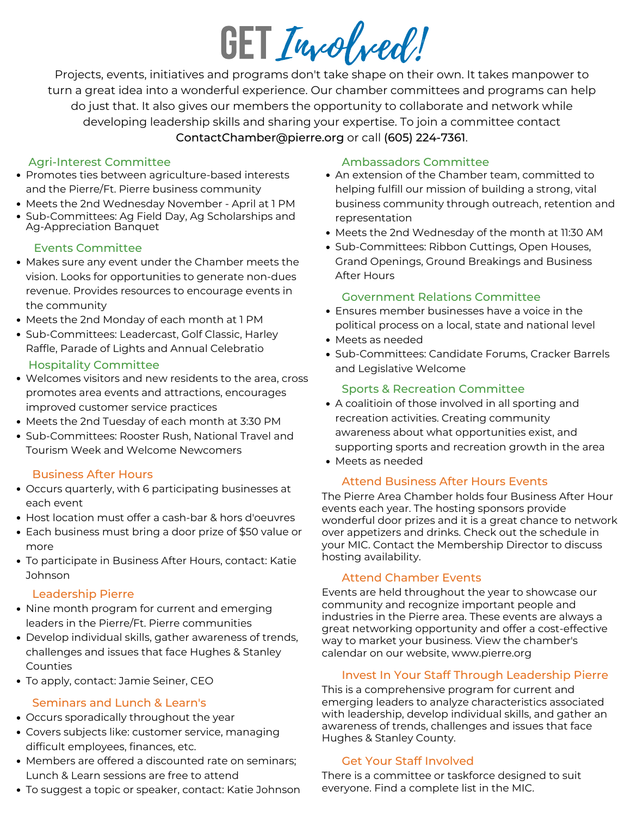# Involved! **GET**

Projects, events, initiatives and programs don't take shape on their own. It takes manpower to turn a great idea into a wonderful experience. Our chamber committees and programs can help do just that. It also gives our members the opportunity to collaborate and network while developing leadership skills and sharing your expertise. To join a committee contact ContactChamber@pierre.org or call (605) 224-7361.

#### Agri-Interest Committee

- Promotes ties between agriculture-based interests and the Pierre/Ft. Pierre business community
- Meets the 2nd Wednesday November April at 1 PM
- Sub-Committees: Ag Field Day, Ag Scholarships and Ag-Appreciation Banquet

## Events Committee

- Makes sure any event under the Chamber meets the vision. Looks for opportunities to generate non-dues revenue. Provides resources to encourage events in the community
- Meets the 2nd Monday of each month at 1 PM
- Sub-Committees: Leadercast, Golf Classic, Harley Raffle, Parade of Lights and Annual Celebratio

## Hospitality Committee

- Welcomes visitors and new residents to the area, cross promotes area events and attractions, encourages improved customer service practices
- Meets the 2nd Tuesday of each month at 3:30 PM
- Sub-Committees: Rooster Rush, National Travel and Tourism Week and Welcome Newcomers

## Business After Hours

- Occurs quarterly, with 6 participating businesses at each event
- Host location must offer a cash-bar & hors d'oeuvres
- Each business must bring a door prize of \$50 value or more
- To participate in Business After Hours, contact: Katie Johnson

## Leadership Pierre

- Nine month program for current and emerging leaders in the Pierre/Ft. Pierre communities
- Develop individual skills, gather awareness of trends, challenges and issues that face Hughes & Stanley Counties
- To apply, contact: Jamie Seiner, CEO

## Seminars and Lunch & Learn's

- Occurs sporadically throughout the year
- Covers subjects like: customer service, managing difficult employees, finances, etc.
- Members are offered a discounted rate on seminars; Lunch & Learn sessions are free to attend
- To suggest a topic or speaker, contact: Katie Johnson

## Ambassadors Committee

- An extension of the Chamber team, committed to helping fulfill our mission of building a strong, vital business community through outreach, retention and representation
- Meets the 2nd Wednesday of the month at 11:30 AM
- Sub-Committees: Ribbon Cuttings, Open Houses, Grand Openings, Ground Breakings and Business After Hours

# Government Relations Committee

- Ensures member businesses have a voice in the political process on a local, state and national level
- Meets as needed
- Sub-Committees: Candidate Forums, Cracker Barrels and Legislative Welcome

# Sports & Recreation Committee

- A coalitioin of those involved in all sporting and recreation activities. Creating community awareness about what opportunities exist, and supporting sports and recreation growth in the area
- Meets as needed

# Attend Business After Hours Events

The Pierre Area Chamber holds four Business After Hour events each year. The hosting sponsors provide wonderful door prizes and it is a great chance to network over appetizers and drinks. Check out the schedule in your MIC. Contact the Membership Director to discuss hosting availability.

# Attend Chamber Events

Events are held throughout the year to showcase our community and recognize important people and industries in the Pierre area. These events are always a great networking opportunity and offer a cost-effective way to market your business. View the chamber's calendar on our website, www.pierre.org

# Invest In Your Staff Through Leadership Pierre

This is a comprehensive program for current and emerging leaders to analyze characteristics associated with leadership, develop individual skills, and gather an awareness of trends, challenges and issues that face Hughes & Stanley County.

# Get Your Staff Involved

There is a committee or taskforce designed to suit everyone. Find a complete list in the MIC.